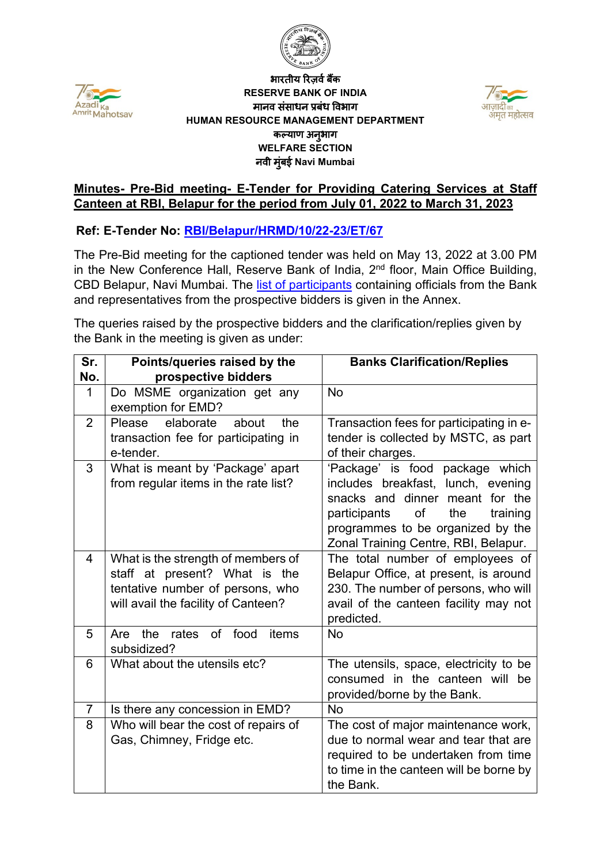



#### j. भारतीय रिज़र्व बैंक **RESERVE BANK OF INDIA** मानव संसाधन प्रबंध �वभाग **HUMAN RESOURCE MANAGEMENT DEPARTMENT** कल्याण अनु भाग **WELFARE SECTION** नवी मुंबई **Navi Mumbai**



### **Minutes- Pre-Bid meeting- E-Tender for Providing Catering Services at Staff Canteen at RBI, Belapur for the period from July 01, 2022 to March 31, 2023**

### **Ref: E-Tender No: [RBI/Belapur/HRMD/10/22-23/ET/67](https://www.rbi.org.in/Scripts/BS_ViewTenders.aspx?Id=6497)**

The Pre-Bid meeting for the captioned tender was held on May 13, 2022 at 3.00 PM in the New Conference Hall, Reserve Bank of India,  $2<sup>nd</sup>$  floor, Main Office Building, CBD Belapur, Navi Mumbai. The [list of participants](#page-1-0) containing officials from the Bank and representatives from the prospective bidders is given in the Annex.

The queries raised by the prospective bidders and the clarification/replies given by the Bank in the meeting is given as under:

| Sr.<br>No.     | Points/queries raised by the<br>prospective bidders                                                                                            | <b>Banks Clarification/Replies</b>                                                                                                                                                                                             |
|----------------|------------------------------------------------------------------------------------------------------------------------------------------------|--------------------------------------------------------------------------------------------------------------------------------------------------------------------------------------------------------------------------------|
| $\mathbf{1}$   | Do MSME organization get any<br>exemption for EMD?                                                                                             | <b>No</b>                                                                                                                                                                                                                      |
| $\overline{2}$ | elaborate<br>Please<br>about<br>the<br>transaction fee for participating in<br>e-tender.                                                       | Transaction fees for participating in e-<br>tender is collected by MSTC, as part<br>of their charges.                                                                                                                          |
| 3              | What is meant by 'Package' apart<br>from regular items in the rate list?                                                                       | 'Package' is food package which<br>includes breakfast, lunch, evening<br>snacks and dinner meant for the<br>of<br>the<br>training<br>participants<br>programmes to be organized by the<br>Zonal Training Centre, RBI, Belapur. |
| 4              | What is the strength of members of<br>staff at present? What is the<br>tentative number of persons, who<br>will avail the facility of Canteen? | The total number of employees of<br>Belapur Office, at present, is around<br>230. The number of persons, who will<br>avail of the canteen facility may not<br>predicted.                                                       |
| 5              | rates of food<br>the<br>items<br>Are<br>subsidized?                                                                                            | <b>No</b>                                                                                                                                                                                                                      |
| 6              | What about the utensils etc?                                                                                                                   | The utensils, space, electricity to be<br>consumed in the canteen will<br>be<br>provided/borne by the Bank.                                                                                                                    |
| $\overline{7}$ | Is there any concession in EMD?                                                                                                                | <b>No</b>                                                                                                                                                                                                                      |
| 8              | Who will bear the cost of repairs of<br>Gas, Chimney, Fridge etc.                                                                              | The cost of major maintenance work,<br>due to normal wear and tear that are<br>required to be undertaken from time<br>to time in the canteen will be borne by<br>the Bank.                                                     |